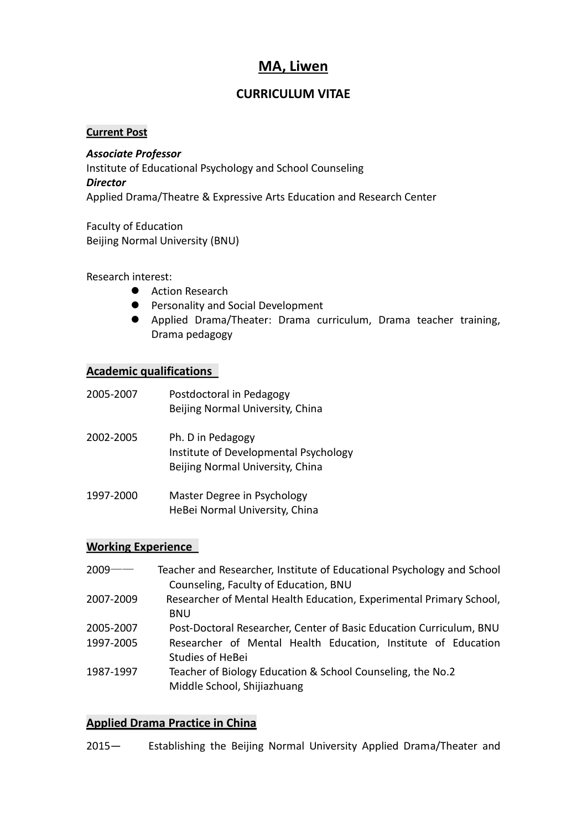## **MA, Liwen**

## **CURRICULUM VITAE**

## **Current Post**

*Associate Professor* Institute of Educational Psychology and School Counseling *Director* Applied Drama/Theatre & Expressive Arts Education and Research Center

Faculty of Education Beijing Normal University (BNU)

Research interest:

- Action Research
- **•** Personality and Social Development
- Applied Drama/Theater: Drama curriculum, Drama teacher training, Drama pedagogy

## **Academic qualifications**

| 2005-2007 | Postdoctoral in Pedagogy<br>Beijing Normal University, China                                   |
|-----------|------------------------------------------------------------------------------------------------|
| 2002-2005 | Ph. D in Pedagogy<br>Institute of Developmental Psychology<br>Beijing Normal University, China |

1997-2000 Master Degree in Psychology HeBei Normal University, China

## **Working Experience**

| $2009 -$  | Teacher and Researcher, Institute of Educational Psychology and School |
|-----------|------------------------------------------------------------------------|
|           | Counseling, Faculty of Education, BNU                                  |
| 2007-2009 | Researcher of Mental Health Education, Experimental Primary School,    |
|           | <b>BNU</b>                                                             |
| 2005-2007 | Post-Doctoral Researcher, Center of Basic Education Curriculum, BNU    |
| 1997-2005 | Researcher of Mental Health Education, Institute of Education          |
|           | <b>Studies of HeBei</b>                                                |
| 1987-1997 | Teacher of Biology Education & School Counseling, the No.2             |
|           | Middle School, Shijiazhuang                                            |

## **Applied Drama Practice in China**

2015— Establishing the Beijing Normal University Applied Drama/Theater and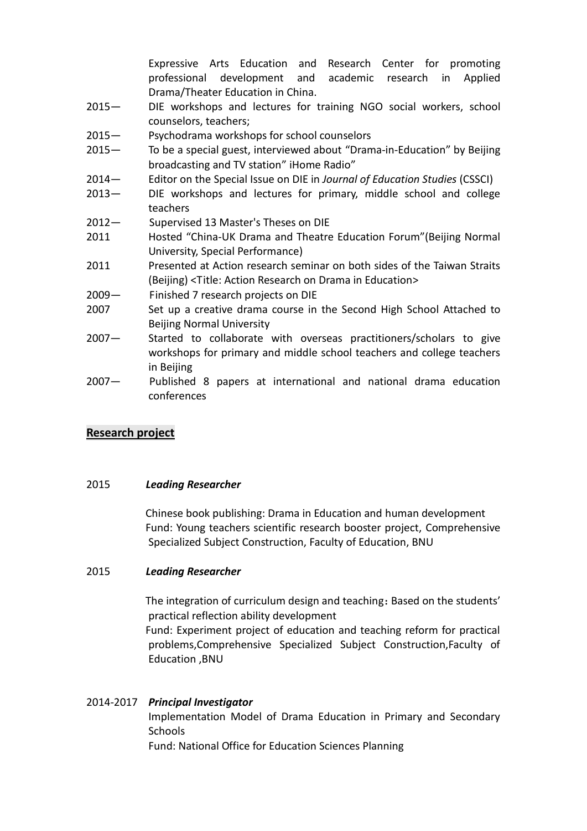Expressive Arts Education and Research Center for promoting professional development and academic research in Applied Drama/Theater Education in China.

- 2015— DIE workshops and lectures for training NGO social workers, school counselors, teachers;
- 2015— Psychodrama workshops for school counselors
- 2015— To be a special guest, interviewed about "Drama-in-Education" by Beijing broadcasting and TV station" iHome Radio"
- 2014— Editor on the Special Issue on DIE in *Journal of Education Studies* (CSSCI)
- 2013— DIE workshops and lectures for primary, middle school and college teachers
- 2012— Supervised 13 Master's Theses on DIE
- 2011 Hosted "China-UK Drama and Theatre Education Forum"(Beijing Normal University, Special Performance)
- 2011 Presented at Action research seminar on both sides of the Taiwan Straits (Beijing) <Title: Action Research on Drama in Education>
- 2009— Finished 7 research projects on DIE
- 2007 Set up a creative drama course in the Second High School Attached to Beijing Normal University
- 2007— Started to collaborate with overseas practitioners/scholars to give workshops for primary and middle school teachers and college teachers in Beijing
- 2007— Published 8 papers at international and national drama education conferences

## **Research project**

#### 2015 *Leading Researcher*

 Chinese book publishing: Drama in Education and human development Fund: Young teachers scientific research booster project, Comprehensive Specialized Subject Construction, Faculty of Education, BNU

#### 2015 *Leading Researcher*

The integration of curriculum design and teaching: Based on the students' practical reflection ability development

 Fund: Experiment project of education and teaching reform for practical problems,Comprehensive Specialized Subject Construction,Faculty of Education ,BNU

# 2014-2017 *Principal Investigator* Implementation Model of Drama Education in Primary and Secondary **Schools**

Fund: National Office for Education Sciences Planning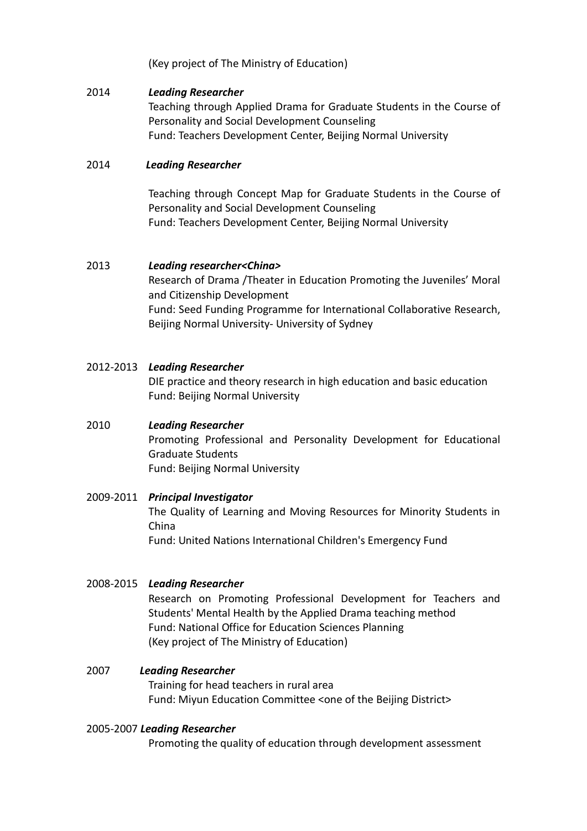(Key project of The Ministry of Education)

#### 2014 *Leading Researcher*

Teaching through Applied Drama for Graduate Students in the Course of Personality and Social Development Counseling Fund: Teachers Development Center, Beijing Normal University

## 2014 *Leading Researcher*

Teaching through Concept Map for Graduate Students in the Course of Personality and Social Development Counseling Fund: Teachers Development Center, Beijing Normal University

## 2013 *Leading researcher<China>*

Research of Drama /Theater in Education Promoting the Juveniles' Moral and Citizenship Development Fund: Seed Funding Programme for International Collaborative Research, Beijing Normal University- University of Sydney

## 2012-2013 *Leading Researcher*

DIE practice and theory research in high education and basic education Fund: Beijing Normal University

## 2010 *Leading Researcher*

Promoting Professional and Personality Development for Educational Graduate Students Fund: Beijing Normal University

#### 2009-2011 *Principal Investigator*

The Quality of Learning and Moving Resources for Minority Students in China Fund: United Nations International Children's Emergency Fund

#### 2008-2015 *Leading Researcher*

Research on Promoting Professional Development for Teachers and Students' Mental Health by the Applied Drama teaching method Fund: National Office for Education Sciences Planning (Key project of The Ministry of Education)

2007 *Leading Researcher* Training for head teachers in rural area Fund: Miyun Education Committee <one of the Beijing District>

#### 2005-2007 *Leading Researcher*

Promoting the quality of education through development assessment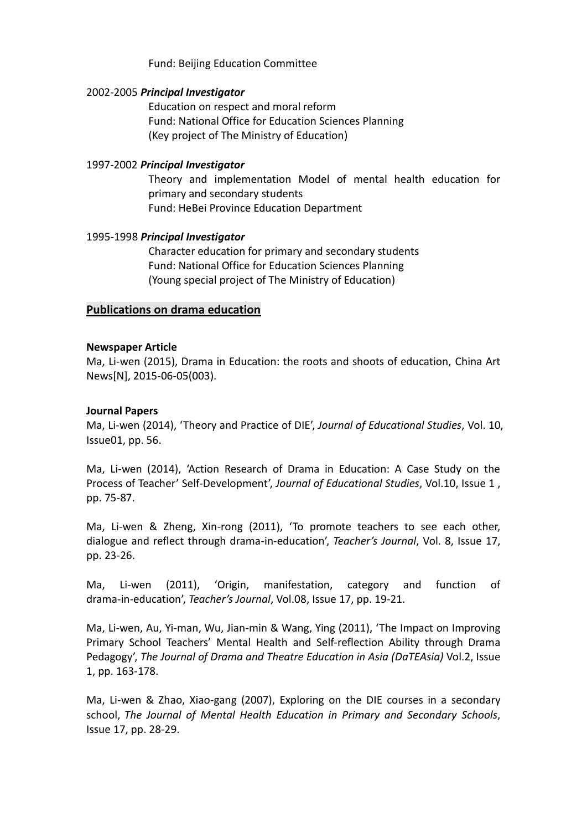#### Fund: Beijing Education Committee

#### 2002-2005 *Principal Investigator*

 Education on respect and moral reform Fund: National Office for Education Sciences Planning (Key project of The Ministry of Education)

#### 1997-2002 *Principal Investigator*

Theory and implementation Model of mental health education for primary and secondary students Fund: HeBei Province Education Department

#### 1995-1998 *Principal Investigator*

Character education for primary and secondary students Fund: National Office for Education Sciences Planning (Young special project of The Ministry of Education)

#### **Publications on drama education**

#### **Newspaper Article**

Ma, Li-wen (2015), Drama in Education: the roots and shoots of education, China Art News[N], 2015-06-05(003).

#### **Journal Papers**

Ma, Li-wen (2014), 'Theory and Practice of DIE', *Journal of Educational Studies*, Vol. 10, Issue01, pp. 56.

Ma, Li-wen (2014), 'Action Research of Drama in Education: A Case Study on the Process of Teacher' Self-Development', *Journal of Educational Studies*, Vol.10, Issue 1 , pp. 75-87.

Ma, Li-wen & Zheng, Xin-rong (2011), 'To promote teachers to see each other, dialogue and reflect through drama-in-education', *Teacher's Journal*, Vol. 8, Issue 17, pp. 23-26.

Ma, Li-wen (2011), 'Origin, manifestation, category and function of drama-in-education', *Teacher's Journal*, Vol.08, Issue 17, pp. 19-21.

Ma, Li-wen, Au, Yi-man, Wu, Jian-min & Wang, Ying (2011), 'The Impact on Improving Primary School Teachers' Mental Health and Self-reflection Ability through Drama Pedagogy', *The Journal of Drama and Theatre Education in Asia (DaTEAsia)* Vol.2, Issue 1, pp. 163-178.

Ma, Li-wen & Zhao, Xiao-gang (2007), Exploring on the DIE courses in a secondary school, *The Journal of Mental Health Education in Primary and Secondary Schools*, Issue 17, pp. 28-29.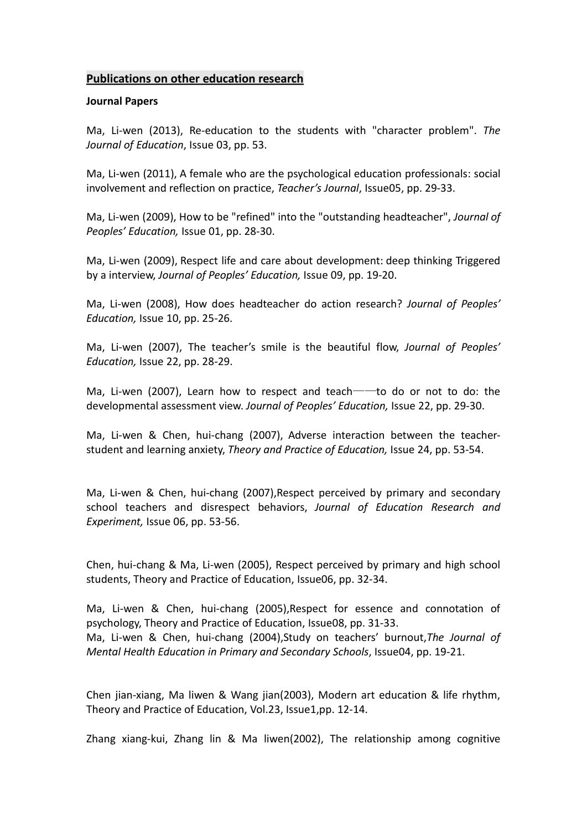#### **Publications on other education research**

#### **Journal Papers**

Ma, Li-wen (2013), Re-education to the students with "character problem". *The Journal of Education*, Issue 03, pp. 53.

Ma, Li-wen (2011), A female who are the psychological education professionals: social involvement and reflection on practice, *Teacher's Journal*, Issue05, pp. 29-33.

Ma, Li-wen (2009), How to be "refined" into the "outstanding headteacher", *Journal of Peoples' Education,* Issue 01, pp. 28-30.

Ma, Li-wen (2009), Respect life and care about development: deep thinking Triggered by a interview, *Journal of Peoples' Education,* Issue 09, pp. 19-20.

Ma, Li-wen (2008), How does headteacher do action research? *Journal of Peoples' Education,* Issue 10, pp. 25-26.

Ma, Li-wen (2007), The teacher's smile is the beautiful flow, *Journal of Peoples' Education,* Issue 22, pp. 28-29.

Ma, Li-wen (2007), Learn how to respect and teach——to do or not to do: the developmental assessment view. *Journal of Peoples' Education,* Issue 22, pp. 29-30.

Ma, Li-wen & Chen, hui-chang (2007), Adverse interaction between the teacherstudent and learning anxiety, *Theory and Practice of Education,* Issue 24, pp. 53-54.

Ma, Li-wen & Chen, hui-chang (2007),Respect perceived by primary and secondary school teachers and disrespect behaviors, *Journal of Education Research and Experiment,* Issue 06, pp. 53-56.

Chen, hui-chang & Ma, Li-wen (2005), Respect perceived by primary and high school students, Theory and Practice of Education, Issue06, pp. 32-34.

Ma, Li-wen & Chen, hui-chang (2005),Respect for essence and connotation of psychology, Theory and Practice of Education, Issue08, pp. 31-33. Ma, Li-wen & Chen, hui-chang (2004),Study on teachers' burnout,*The Journal of Mental Health Education in Primary and Secondary Schools*, Issue04, pp. 19-21.

Chen jian-xiang, Ma liwen & Wang jian(2003), Modern art education & life rhythm, Theory and Practice of Education, Vol.23, Issue1,pp. 12-14.

Zhang xiang-kui, Zhang lin & Ma liwen(2002), The relationship among cognitive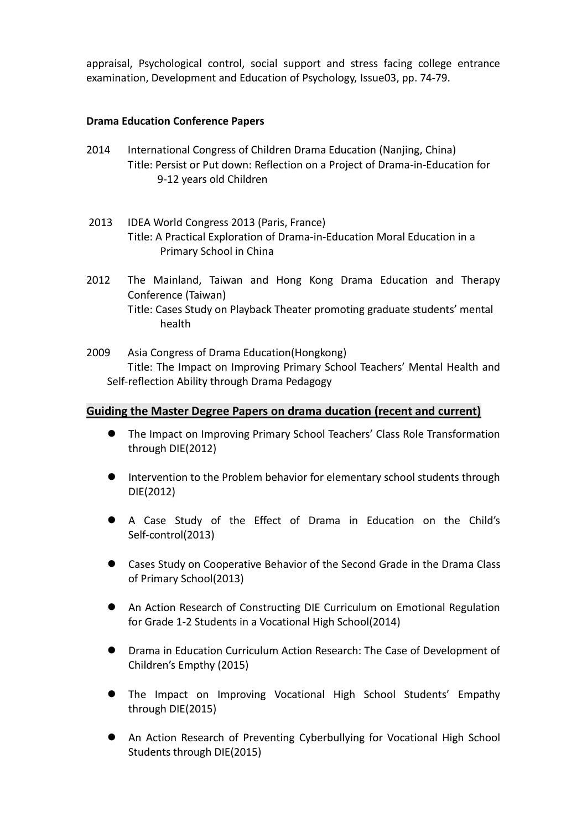appraisal, Psychological control, social support and stress facing college entrance examination, Development and Education of Psychology, Issue03, pp. 74-79.

## **Drama Education Conference Papers**

- 2014 International Congress of Children Drama Education (Nanjing, China) Title: Persist or Put down: Reflection on a Project of Drama-in-Education for 9-12 years old Children
- 2013 IDEA World Congress 2013 (Paris, France) Title: A Practical Exploration of Drama-in-Education Moral Education in a Primary School in China
- 2012 The Mainland, Taiwan and Hong Kong Drama Education and Therapy Conference (Taiwan) Title: Cases Study on Playback Theater promoting graduate students' mental health
- 2009 Asia Congress of Drama Education(Hongkong) Title: The Impact on Improving Primary School Teachers' Mental Health and Self-reflection Ability through Drama Pedagogy

## **Guiding the Master Degree Papers on drama ducation (recent and current)**

- The Impact on Improving Primary School Teachers' Class Role Transformation through DIE(2012)
- **Intervention to the Problem behavior for elementary school students through** DIE(2012)
- A Case Study of the Effect of Drama in Education on the Child's Self-control(2013)
- Cases Study on Cooperative Behavior of the Second Grade in the Drama Class of Primary School(2013)
- An Action Research of Constructing DIE Curriculum on Emotional Regulation for Grade 1-2 Students in a Vocational High School(2014)
- Drama in Education Curriculum Action Research: The Case of Development of Children's Empthy (2015)
- The Impact on Improving Vocational High School Students' Empathy through DIE(2015)
- An Action Research of Preventing Cyberbullying for Vocational High School Students through DIE(2015)